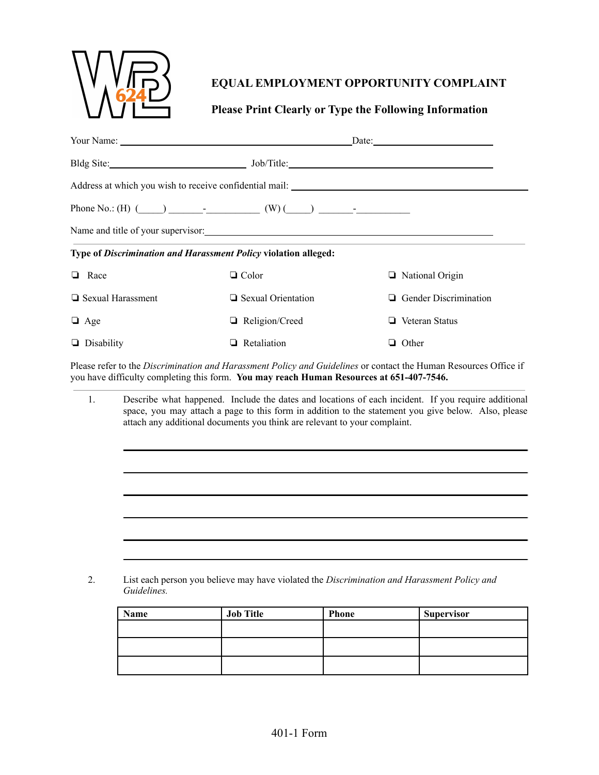

## **EQUAL EMPLOYMENT OPPORTUNITY COMPLAINT**

## **Please Print Clearly or Type the Following Information**

|                   |                                                                                                                                                                                                                                                                                         |                                                                                                                                                                                                                                | $\Box$ Date: $\Box$                                                                                              |  |
|-------------------|-----------------------------------------------------------------------------------------------------------------------------------------------------------------------------------------------------------------------------------------------------------------------------------------|--------------------------------------------------------------------------------------------------------------------------------------------------------------------------------------------------------------------------------|------------------------------------------------------------------------------------------------------------------|--|
|                   |                                                                                                                                                                                                                                                                                         | Bldg Site: John Title: John Title: John Title: John Title: John Title: John Title: John Title: John Title: John Title: John Title: John Title: John Title: John Title: John Title: John Title: John Title: John Title: John Ti |                                                                                                                  |  |
|                   |                                                                                                                                                                                                                                                                                         |                                                                                                                                                                                                                                |                                                                                                                  |  |
|                   |                                                                                                                                                                                                                                                                                         | Phone No.: (H) $\qquad \qquad$ (W) $\qquad \qquad$ (W) $\qquad \qquad$                                                                                                                                                         |                                                                                                                  |  |
|                   |                                                                                                                                                                                                                                                                                         | Name and title of your supervisor: example and the same state of your supervisor.                                                                                                                                              |                                                                                                                  |  |
|                   |                                                                                                                                                                                                                                                                                         | Type of Discrimination and Harassment Policy violation alleged:                                                                                                                                                                |                                                                                                                  |  |
| $\Box$ Race       |                                                                                                                                                                                                                                                                                         | $\Box$ Color                                                                                                                                                                                                                   | $\Box$ National Origin                                                                                           |  |
| Sexual Harassment |                                                                                                                                                                                                                                                                                         | $\Box$ Sexual Orientation                                                                                                                                                                                                      | $\Box$ Gender Discrimination                                                                                     |  |
| $\Box$ Age        |                                                                                                                                                                                                                                                                                         | Religion/Creed                                                                                                                                                                                                                 | $\Box$ Veteran Status                                                                                            |  |
| $\Box$ Disability |                                                                                                                                                                                                                                                                                         | $\Box$ Retaliation                                                                                                                                                                                                             | $\Box$ Other                                                                                                     |  |
|                   |                                                                                                                                                                                                                                                                                         | you have difficulty completing this form. You may reach Human Resources at 651-407-7546.                                                                                                                                       | Please refer to the Discrimination and Harassment Policy and Guidelines or contact the Human Resources Office if |  |
| $\mathbf{1}$ .    | Describe what happened. Include the dates and locations of each incident. If you require additional<br>space, you may attach a page to this form in addition to the statement you give below. Also, please<br>attach any additional documents you think are relevant to your complaint. |                                                                                                                                                                                                                                |                                                                                                                  |  |
|                   |                                                                                                                                                                                                                                                                                         |                                                                                                                                                                                                                                |                                                                                                                  |  |
|                   |                                                                                                                                                                                                                                                                                         |                                                                                                                                                                                                                                |                                                                                                                  |  |
|                   |                                                                                                                                                                                                                                                                                         |                                                                                                                                                                                                                                |                                                                                                                  |  |
|                   |                                                                                                                                                                                                                                                                                         |                                                                                                                                                                                                                                |                                                                                                                  |  |
|                   |                                                                                                                                                                                                                                                                                         |                                                                                                                                                                                                                                |                                                                                                                  |  |
|                   |                                                                                                                                                                                                                                                                                         |                                                                                                                                                                                                                                |                                                                                                                  |  |

2. List each person you believe may have violated the *Discrimination and Harassment Policy and Guidelines.*

| Name | <b>Job Title</b> | <b>Phone</b> | <b>Supervisor</b> |
|------|------------------|--------------|-------------------|
|      |                  |              |                   |
|      |                  |              |                   |
|      |                  |              |                   |